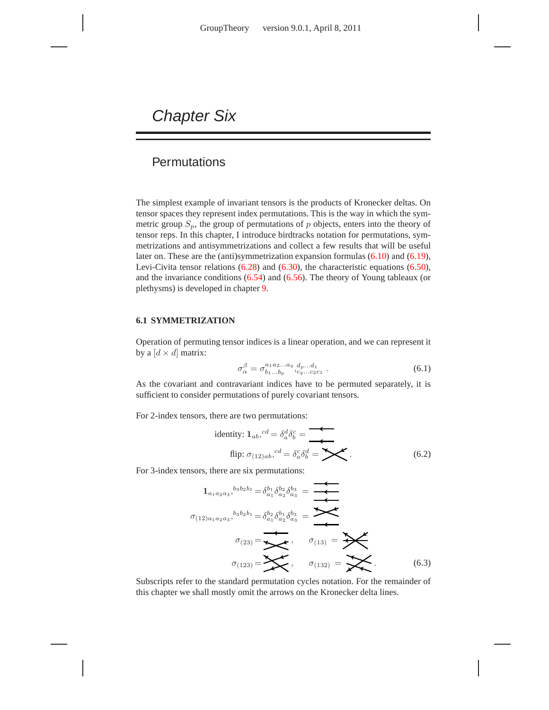# Chapter Six

# **Permutations**

The simplest example of invariant tensors is the products of Kronecker deltas. On tensor spaces they represent index permutations. This is the way in which the symmetric group  $S_p$ , the group of permutations of p objects, enters into the theory of tensor reps. In this chapter, I introduce birdtracks notation for permutations, symmetrizations and antisymmetrizations and collect a few results that will be useful later on. These are the (anti)symmetrization expansion formulas (6.10) and (6.19), Levi-Civita tensor relations (6.28) and (6.30), the characteristic equations (6.50), and the invariance conditions (6.54) and (6.56). The theory of Young tableaux (or plethysms) is developed in chapter 9.

## **6.1 SYMMETRIZATION**

Operation of permuting tensor indices is a linear operation, and we can represent it by a  $[d \times d]$  matrix:

$$
\sigma_{\alpha}^{\beta} = \sigma_{b_1...b_p}^{a_1 a_2...a_q} \, d_{p}...d_1 \, . \tag{6.1}
$$

As the covariant and contravariant indices have to be permuted separately, it is sufficient to consider permutations of purely covariant tensors.

For 2-index tensors, there are two permutations:

identity: 
$$
\mathbf{1}_{ab}
$$
,  $^{cd} = \delta_a^d \delta_b^c =$   
flip:  $\sigma_{(12)ab}$ ,  $^{cd} = \delta_a^c \delta_b^d =$   $\blacktriangleright$  (6.2)

For 3-index tensors, there are six permutations:

$$
1_{a_1a_2a_3}, {}^{b_3b_2b_1} = \delta_{a_1}^{b_1} \delta_{a_2}^{b_2} \delta_{a_3}^{b_3} = \n\overbrace{\phantom{aa}}^{\phantom{aa}}\n\overbrace{\phantom{aa}}^{\sigma_{(12)a_1a_2a_3}}, {}^{b_3b_2b_1} = \delta_{a_1}^{b_2} \delta_{a_2}^{b_1} \delta_{a_3}^{b_3} = \n\overbrace{\phantom{aa}}^{\phantom{aa}}\n\overbrace{\phantom{aa}}^{\phantom{aa}}\n\qquad \qquad \sigma_{(23)} = \n\overbrace{\phantom{aa}}^{\phantom{aa}}\n\qquad \qquad \sigma_{(13)} = \n\overbrace{\phantom{aa}}^{\phantom{aa}}\n\qquad \qquad \sigma_{(132)} = \n\qquad \qquad \qquad \quad \cdots \qquad (6.3)
$$

Subscripts refer to the standard permutation cycles notation. For the remainder of this chapter we shall mostly omit the arrows on the Kronecker delta lines.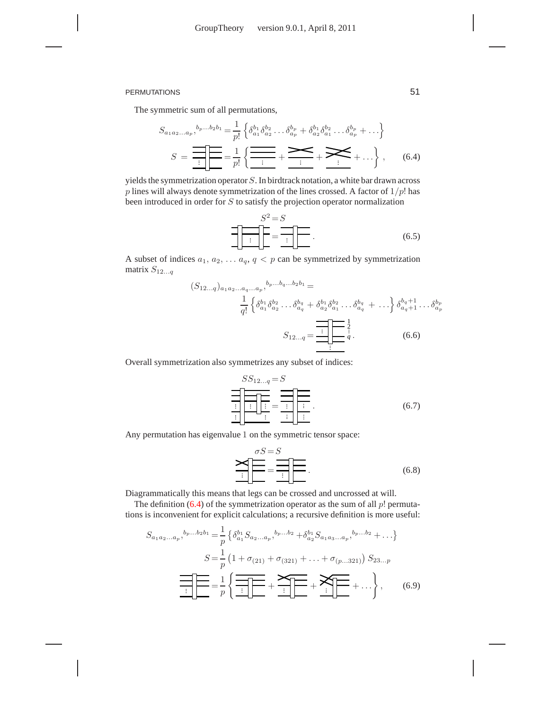The symmetric sum of all permutations,

$$
S_{a_1 a_2 ... a_p},^{b_p...b_2 b_1} = \frac{1}{p!} \left\{ \delta_{a_1}^{b_1} \delta_{a_2}^{b_2} ... \delta_{a_p}^{b_p} + \delta_{a_2}^{b_1} \delta_{a_1}^{b_2} ... \delta_{a_p}^{b_p} + ... \right\}
$$

$$
S = \frac{1}{\frac{1}{\cdot \cdot \cdot}} \left\{ \frac{1}{\frac{1}{\cdot \cdot \cdot}} \left\{ \frac{1}{\frac{1}{\cdot \cdot \cdot}} \left\{ \frac{1}{\frac{1}{\cdot \cdot \cdot}} \left\{ \frac{1}{\frac{1}{\cdot \cdot \cdot}} \left\{ \frac{1}{\frac{1}{\cdot \cdot \cdot}} \left\{ \frac{1}{\frac{1}{\cdot \cdot \cdot}} \left\{ \frac{1}{\frac{1}{\cdot \cdot \cdot}} \left\{ \frac{1}{\frac{1}{\cdot \cdot \cdot}} \left\{ \frac{1}{\frac{1}{\cdot \cdot \cdot}} \left\{ \frac{1}{\frac{1}{\cdot \cdot \cdot}} \left\{ \frac{1}{\frac{1}{\cdot \cdot \cdot}} \left\{ \frac{1}{\frac{1}{\cdot \cdot \cdot}} \left\{ \frac{1}{\frac{1}{\cdot \cdot \cdot}} \left\{ \frac{1}{\frac{1}{\cdot \cdot \cdot}} \left\{ \frac{1}{\frac{1}{\cdot \cdot \cdot}} \left\{ \frac{1}{\frac{1}{\cdot \cdot \cdot}} \left\{ \frac{1}{\frac{1}{\cdot \cdot \cdot}} \left\{ \frac{1}{\frac{1}{\cdot \cdot \cdot}} \left\{ \frac{1}{\frac{1}{\cdot \cdot \cdot}} \left\{ \frac{1}{\frac{1}{\cdot \cdot \cdot}} \left\{ \frac{1}{\frac{1}{\cdot \cdot \cdot}} \left\{ \frac{1}{\frac{1}{\cdot \cdot \cdot}} \left\{ \frac{1}{\frac{1}{\cdot \cdot \cdot}} \left\{ \frac{1}{\frac{1}{\cdot \cdot \cdot}} \left\{ \frac{1}{\frac{1}{\cdot \cdot \cdot}} \left\{ \frac{1}{\frac{1}{\cdot \cdot \cdot}} \left\{ \frac{1}{\frac{1}{\cdot \cdot \cdot}} \left\{ \frac{1}{\frac{1}{\cdot \cdot \cdot}} \left\{ \frac{1}{\frac{1}{\cdot \cdot \cdot}} \left\{ \frac{1}{\frac
$$

yields the symmetrization operator  $S$ . In birdtrack notation, a white bar drawn across  $p$  lines will always denote symmetrization of the lines crossed. A factor of  $1/p!$  has been introduced in order for S to satisfy the projection operator normalization

$$
S^2 = S
$$
  
\n
$$
\frac{1}{\left| \frac{1}{\left| \frac{1}{\left| \frac{1}{\left| \frac{1}{\left| \frac{1}{\left| \frac{1}{\left| \frac{1}{\left| \frac{1}{\left| \frac{1}{\left| \frac{1}{\left| \frac{1}{\left| \frac{1}{\left| \frac{1}{\left| \frac{1}{\left| \frac{1}{\left| \frac{1}{\left| \frac{1}{\left| \frac{1}{\left| \frac{1}{\left| \frac{1}{\left| \frac{1}{\left| \frac{1}{\left| \frac{1}{\left| \frac{1}{\left| \frac{1}{\left| \frac{1}{\left| \frac{1}{\left| \frac{1}{\left| \frac{1}{\left| \frac{1}{\left| \frac{1}{\left| \frac{1}{\left| \frac{1}{\left| \frac{1}{\left| \frac{1}{\left| \frac{1}{\left| \frac{1}{\left| \frac{1}{\left| \frac{1}{\left| \frac{1}{\left| \frac{1}{\left| \frac{1}{\left| \frac{1}{\left| \frac{1}{\left| \frac{1}{\left| \frac{1}{\left| \frac{1}{\left| \frac{1}{\left| \frac{1}{\left| \frac{1}{\left| \frac{1}{\left| \frac{1}{\left| \frac{1}{\left| \frac{1}{\left| \frac{1}{\left| \frac{1}{\left| \frac{1}{\left| \frac{1}{\left| \frac{1}{\left| \frac{1}{\left| \frac{1}{\left| \frac{1}{\left| \frac{1}{\left| \frac{1}{\left| \frac{1}{\left| \frac{1}{\left| \frac{1}{\left| \frac{1}{\left| \frac{1}{\left| \frac{1}{\left| \frac{1}{\left| \frac{1}{\left| \frac{1}{\left| \frac{1}{\left| \frac{1}{\left| \frac{1}{\left| \frac{1}{\left| \frac{1}{\left| \frac{1}{\left| \frac{1}{\left| \frac{1}{\left| \frac{1}{\left| \frac{1}{\left| \frac{1}{\left| \frac{1}{\left| \frac{1}{\left| \frac{1}{\left| \frac{1}{\left| \frac{1}{\left| \frac{1}{\left| \frac{1}{\left| \frac{1}{\left
$$

A subset of indices  $a_1, a_2, \ldots, a_q, q < p$  can be symmetrized by symmetrization matrix  $S_{12...q}$ 

$$
(S_{12...q})_{a_1 a_2 ... a_q ... a_p},^{b_p... b_q ... b_2 b_1} =
$$
  
\n
$$
\frac{1}{q!} \left\{ \delta_{a_1}^{b_1} \delta_{a_2}^{b_2} ... \delta_{a_q}^{b_q} + \delta_{a_2}^{b_1} \delta_{a_1}^{b_2} ... \delta_{a_q}^{b_q} + ... \right\} \delta_{a_q+1}^{b_q+1} ... \delta_{a_p}^{b_p}
$$
  
\n
$$
S_{12...q} = \underbrace{\prod_{i=1}^{q-1} \left[ \frac{1}{q} \right]}_{i} \frac{1}{q}.
$$
 (6.6)

Overall symmetrization also symmetrizes any subset of indices:

$$
SS_{12...q} = S
$$
  
\n
$$
\frac{1}{\frac{1}{\frac{1}{\frac{1}{\frac{1}{\cdots}}}}\frac{1}{\frac{1}{\cdots}}}} = \frac{1}{\frac{1}{\frac{1}{\cdots}}\frac{1}{\cdots}}.
$$
 (6.7)

Any permutation has eigenvalue 1 on the symmetric tensor space:

$$
\sum_{i=1}^{\sigma S = S} = \frac{1}{\sigma S} = \frac{1}{\sigma S} = \frac{1}{\sigma S} \tag{6.8}
$$

Diagrammatically this means that legs can be crossed and uncrossed at will.

The definition  $(6.4)$  of the symmetrization operator as the sum of all  $p!$  permutations is inconvenient for explicit calculations; a recursive definition is more useful:

$$
S_{a_1 a_2 \ldots a_p},^{b_p \ldots b_2 b_1} = \frac{1}{p} \left\{ \delta_{a_1}^{b_1} S_{a_2 \ldots a_p},^{b_p \ldots b_2} + \delta_{a_2}^{b_1} S_{a_1 a_3 \ldots a_p},^{b_p \ldots b_2} + \ldots \right\}
$$

$$
S = \frac{1}{p} \left( 1 + \sigma_{(21)} + \sigma_{(321)} + \ldots + \sigma_{(p \ldots 321)} \right) S_{23\ldots p}
$$

$$
\underbrace{\overline{\cdots}}_{\vdots}
$$

$$
= \frac{1}{p} \left\{ \underbrace{\overline{\cdots}}_{\vdots}
$$

$$
+ \underbrace{\sum_{\vdots \downarrow \downarrow \downarrow}}_{\vdots}
$$

$$
+ \underbrace{\sum_{\vdots \downarrow \downarrow \downarrow}}_{\vdots}
$$

$$
+ \ldots \right\}, \qquad (6.9)
$$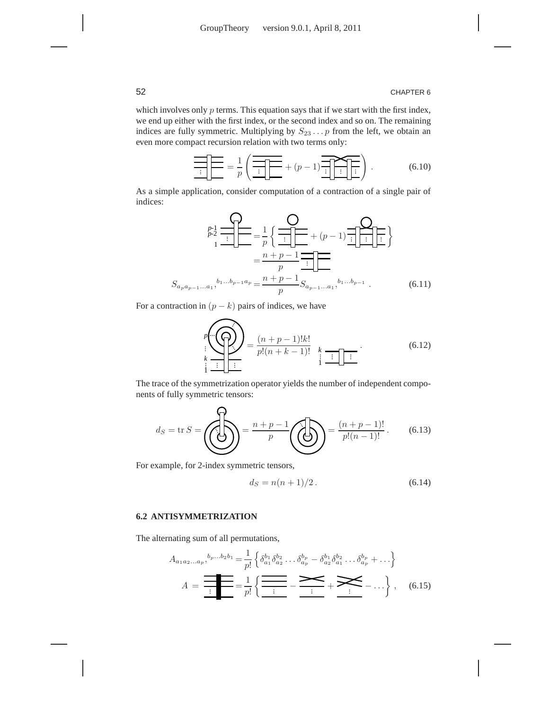which involves only  $p$  terms. This equation says that if we start with the first index, we end up either with the first index, or the second index and so on. The remaining indices are fully symmetric. Multiplying by  $S_{23} \ldots p$  from the left, we obtain an even more compact recursion relation with two terms only:

$$
\underbrace{\overbrace{\cdot \cdot \cdot} \cdot \cdot} = \frac{1}{p} \left( \underbrace{\overbrace{\cdot \cdot \cdot} \cdot \cdot} \cdot \right) + (p-1) \underbrace{\overbrace{\cdot \cdot \cdot} \cdot \cdot} \cdot \underbrace{\cdot} \cdot \right). \tag{6.10}
$$

As a simple application, consider computation of a contraction of a single pair of indices:

$$
S_{a_{p}a_{p-1}...a_{1}}, b_{1}...b_{p-1}a_{p} = \frac{n+p-1}{p} S_{a_{p-1}...a_{1}}, b_{1}...b_{p-1}a_{p} = \frac{n+p-1}{p} S_{a_{p-1}...a_{1}}, b_{1}...b_{p-1}.
$$
 (6.11)

For a contraction in  $(p - k)$  pairs of indices, we have

$$
p\left(\bigodot_{k} \left(\bigodot_{j=1}^{n} \right)\right) = \frac{(n+p-1)!k!}{p!(n+k-1)!} \sum_{\substack{k \text{ is odd}}}{\underbrace{\vdots \ddots}_{k}}.
$$
\n(6.12)

The trace of the symmetrization operator yields the number of independent components of fully symmetric tensors:

$$
d_S = \text{tr}\,S = \left(\bigodot \right) = \frac{n+p-1}{p} \left(\bigodot \right) = \frac{(n+p-1)!}{p!(n-1)!}.
$$
 (6.13)

For example, for 2-index symmetric tensors,

$$
d_S = n(n+1)/2.
$$
 (6.14)

# **6.2 ANTISYMMETRIZATION**

The alternating sum of all permutations,

$$
A_{a_1 a_2 \ldots a_p},^{b_p \ldots b_2 b_1} = \frac{1}{p!} \left\{ \delta_{a_1}^{b_1} \delta_{a_2}^{b_2} \ldots \delta_{a_p}^{b_p} - \delta_{a_2}^{b_1} \delta_{a_1}^{b_2} \ldots \delta_{a_p}^{b_p} + \ldots \right\}
$$

$$
A = \frac{1}{\frac{1}{p!}} = \frac{1}{p!} \left\{ \frac{1}{\frac{1}{p!}} - \frac{1}{\frac{1}{p!}} + \frac{1}{\frac{1}{p!}} - \ldots \right\}, \quad (6.15)
$$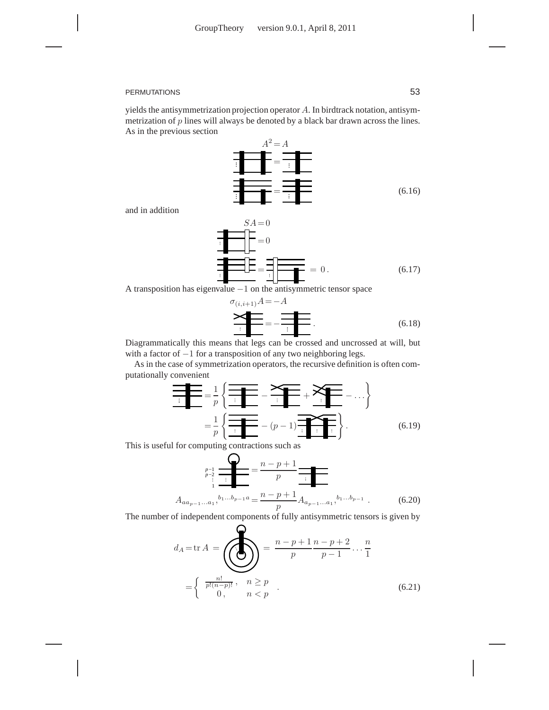yields the antisymmetrization projection operator A. In birdtrack notation, antisymmetrization of p lines will always be denoted by a black bar drawn across the lines. As in the previous section



and in addition

 $SA = 0$  $= 0$ =  $= 0.$  (6.17)

A transposition has eigenvalue  $-1$  on the antisymmetric tensor space

$$
\sigma_{(i,i+1)}A = -A
$$
\n
$$
\sum_{i=1}^{n} A_i = -\frac{1}{n} \sum_{i=1}^{n} A_i
$$
\n(6.18)

Diagrammatically this means that legs can be crossed and uncrossed at will, but with a factor of −1 for a transposition of any two neighboring legs.

As in the case of symmetrization operators, the recursive definition is often computationally convenient

$$
\frac{1}{\frac{1}{p}} = \frac{1}{p} \left\{ \frac{1}{\frac{1}{p}} - \frac{1}{p} \left( \frac{1}{\frac{1}{p}} - \frac{1}{p}\right) \right\} = \frac{1}{p} \left\{ \frac{1}{\frac{1}{p}} - (p-1) \frac{1}{\frac{1}{p}} \left( \frac{1}{p}\right) \right\}.
$$
\n(6.19)

This is useful for computing contractions such as

 $\frac{1}{1}$  $\overline{a}$ 

$$
A_{aa_{p-1}...a_1}, \sum_{p-1}^{p-1} a_p = \frac{n-p+1}{p}
$$
  
\n
$$
A_{aa_{p-1}...a_1}, \sum_{p}^{b_1...b_{p-1}a} = \frac{n-p+1}{p} A_{a_{p-1}...a_1}, \sum_{p}^{b_1...b_{p-1}}.
$$
 (6.20)

The number of independent components of fully antisymmetric tensors is given by

 $\sim$ 

$$
d_{A} = \text{tr } A = \left( \bigotimes_{n} \right) = \frac{n-p+1}{p} \frac{n-p+2}{p-1} \cdots \frac{n}{1}
$$

$$
= \begin{cases} \frac{n!}{p!(n-p)!}, & n \ge p \\ 0, & n < p \end{cases} . \tag{6.21}
$$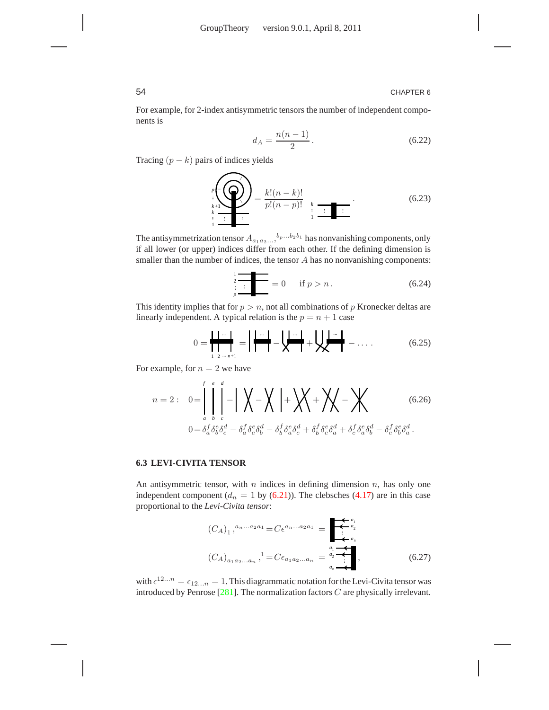For example, for 2-index antisymmetric tensors the number of independent components is

$$
d_A = \frac{n(n-1)}{2} \,. \tag{6.22}
$$

Tracing  $(p - k)$  pairs of indices yields

$$
\sum_{\substack{k=1\\k\neq i}}^{p} \left(\bigodot_{k=1}^{n} \right) = \frac{k!(n-k)!}{p!(n-p)!} \sum_{\substack{k=1\\i \text{ is odd}}}^{n}.
$$
\n(6.23)

The antisymmetrization tensor  $A_{a_1 a_2 ...}$ ,  $b_p ... b_2 b_1$  has nonvanishing components, only if all lower (or upper) indices differ from each other. If the defining dimension is smaller than the number of indices, the tensor A has no nonvanishing components:

$$
\frac{1}{2} = 0 \quad \text{if } p > n. \tag{6.24}
$$

This identity implies that for  $p > n$ , not all combinations of p Kronecker deltas are linearly independent. A typical relation is the  $p = n + 1$  case

$$
0 = \frac{\mathbf{1} \cdot \mathbf{1} \cdot \mathbf{1}}{\mathbf{1} \cdot \mathbf{1} \cdot \mathbf{1}} = \mathbf{1} \frac{\mathbf{1} \cdot \mathbf{1}}{\mathbf{1} \cdot \mathbf{1}} - \mathbf{1} \frac{\mathbf{1} \cdot \mathbf{1}}{\mathbf{1}} + \mathbf{1} \frac{\mathbf{1} \cdot \mathbf{1}}{\mathbf{1}} - \dots
$$
 (6.25)

For example, for  $n = 2$  we have

$$
n = 2: \quad 0 = \int_{a}^{f} \int_{b}^{e} \left| - \left| \int_{a} \right| \left| - \left| \int_{a} \right| \left| - \left| \int_{a} \right| \left| + \left| \int_{a} \right| \left| + \left| \int_{a} \right| \left| - \left| \int_{a} \right| \left| - \left| \int_{a} \right| \left| - \left| \int_{a} \right| \left| - \left| \int_{a} \right| \left| \right| \right| \right| \right| \right) \right| d\mu
$$
\n
$$
0 = \delta_a^f \delta_b^e \delta_a^d - \delta_a^f \delta_b^e \delta_b^d - \delta_b^f \delta_a^e \delta_a^d + \delta_b^f \delta_c^e \delta_a^d + \delta_c^f \delta_a^e \delta_b^d - \delta_c^f \delta_b^e \delta_a^d.
$$
\n
$$
(6.26)
$$

#### **6.3 LEVI-CIVITA TENSOR**

An antisymmetric tensor, with  $n$  indices in defining dimension  $n$ , has only one independent component ( $d_n = 1$  by (6.21)). The clebsches (4.17) are in this case proportional to the *Levi-Civita tensor*:

$$
(C_A)_1, {^{a_n...a_2a_1}} = C\epsilon^{a_n...a_2a_1} = \begin{array}{|c|c|}\n\hline\n\epsilon^{a_1} & \\\hline\n\vdots & \\\hline\n\vdots & \\\hline\na_n & \\\hline\n\end{array}
$$
\n
$$
(C_A)_{a_1a_2...a_n}, {^{1}} = C\epsilon_{a_1a_2...a_n} = {^{a_1}_{a_1}} \begin{array}{|c|}\n\hline\n\epsilon^{a_1} & \\\hline\n\vdots & \\\hline\n\vdots & \\\hline\n\end{array}
$$
\n
$$
(6.27)
$$

with  $\epsilon^{12...n} = \epsilon_{12...n} = 1$ . This diagrammatic notation for the Levi-Civita tensor was introduced by Penrose  $[281]$ . The normalization factors  $C$  are physically irrelevant.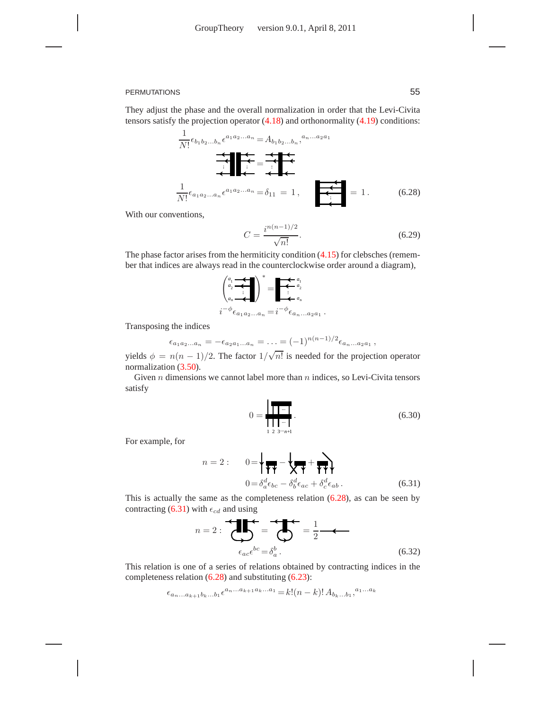They adjust the phase and the overall normalization in order that the Levi-Civita tensors satisfy the projection operator (4.18) and orthonormality (4.19) conditions:

$$
\frac{1}{N!} \epsilon_{b_1 b_2...b_n} \epsilon^{a_1 a_2...a_n} = A_{b_1 b_2...b_n}, \frac{a_n ... a_2 a_1}{a_1 a_2 ... a_n} = \frac{1}{\epsilon} \epsilon^{a_1 a_2 ... a_n} = \delta_{11} = 1, \quad \epsilon^{a_1 a_2 ... a_n} = 1.
$$
 (6.28)

With our conventions,

$$
C = \frac{i^{n(n-1)/2}}{\sqrt{n!}}.\tag{6.29}
$$

.

The phase factor arises from the hermiticity condition (4.15) for clebsches (remember that indices are always read in the counterclockwise order around a diagram),

 1 *a* 2 *a*n *a* !<sup>∗</sup> = 1 *a* 2 *a*n *a* ... i −φ ǫ<sup>a</sup>1a2...a<sup>n</sup> =i −φ ǫ<sup>a</sup>n...a2a<sup>1</sup>

Transposing the indices

$$
\epsilon_{a_1 a_2 ... a_n} = -\epsilon_{a_2 a_1 ... a_n} = ... = (-1)^{n(n-1)/2} \epsilon_{a_n ... a_2 a_1} ,
$$

yields  $\phi = n(n-1)/2$ . The factor  $1/\sqrt{n!}$  is needed for the projection operator normalization (3.50).

Given  $n$  dimensions we cannot label more than  $n$  indices, so Levi-Civita tensors satisfy

$$
0 = \frac{1}{\prod_{1 \ 2 \ 3 \cdots n+1}}.
$$
\n(6.30)

For example, for

$$
n = 2: \qquad 0 = \sqrt{\frac{1}{\mathbf{H}} - \sqrt{\frac{1}{\mathbf{H}} + \mathbf{H}}}
$$

$$
0 = \delta_a^d \epsilon_{bc} - \delta_b^d \epsilon_{ac} + \delta_c^d \epsilon_{ab}.
$$
(6.31)

This is actually the same as the completeness relation (6.28), as can be seen by contracting (6.31) with  $\epsilon_{cd}$  and using

$$
n = 2: \underbrace{\bigoplus_{\epsilon_{ac}\epsilon^{bc} = \delta_a^b}}_{\epsilon_{ac}\epsilon^{bc} = \delta_a^b} = \frac{1}{2} \underbrace{\qquad \qquad}_{\qquad (6.32)}
$$

This relation is one of a series of relations obtained by contracting indices in the completeness relation (6.28) and substituting (6.23):

$$
\epsilon_{a_n...a_{k+1}b_k...b_1} \epsilon^{a_n...a_{k+1}a_k...a_1} = k! (n-k)! A_{b_k...b_1}^{\ a_1...a_k}
$$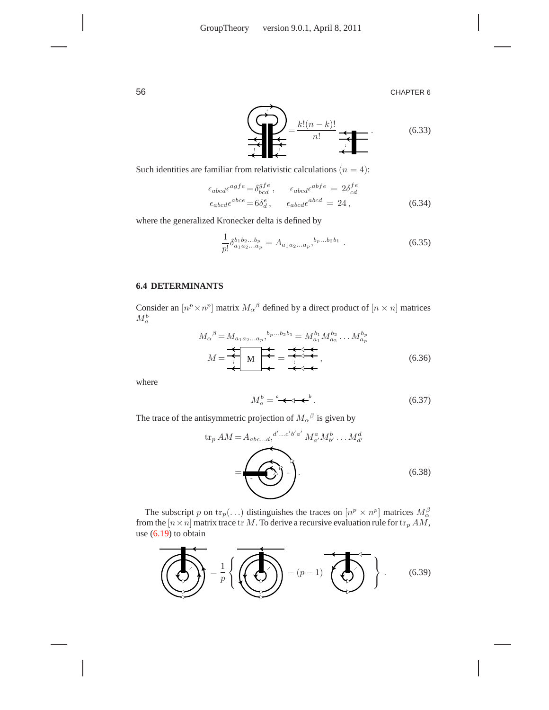

Such identities are familiar from relativistic calculations  $(n = 4)$ :

$$
\epsilon_{abcd}\epsilon^{agfe} = \delta^{gfe}_{bcd}, \qquad \epsilon_{abcd}\epsilon^{abfe} = 2\delta^{fe}_{cd}
$$
\n
$$
\epsilon_{abcd}\epsilon^{abce} = 6\delta^e_d, \qquad \epsilon_{abcd}\epsilon^{abcd} = 24,
$$
\n(6.34)

where the generalized Kronecker delta is defined by

$$
\frac{1}{p!} \delta_{a_1 a_2 ... a_p}^{b_1 b_2 ... b_p} = A_{a_1 a_2 ... a_p},^{b_p ... b_2 b_1}.
$$
\n(6.35)

# **6.4 DETERMINANTS**

 $\equiv$  $\sim$ 

Consider an  $[n^p \times n^p]$  matrix  $M_\alpha{}^\beta$  defined by a direct product of  $[n \times n]$  matrices  $M_a^b$ 

$$
M_{\alpha}{}^{\beta} = M_{a_1 a_2 \dots a_p}{}^{b_p \dots b_2 b_1} = M_{a_1}^{b_1} M_{a_2}^{b_2} \dots M_{a_p}^{b_p}
$$

$$
M = \underbrace{\bigcup_{i} M} \bigcup_{\text{A}} \bigcup_{\text{B}} \bigcup_{\text{B}} \bigcup_{\text{B}} \bigcap_{\text{C}} \bigcap_{\text{C}} \bigcap_{\text{D}} \bigcap_{\text{D}} \bigcap_{\text{D}} \bigcap_{\text{D}} \bigcap_{\text{D}} \bigcap_{\text{D}} \bigcap_{\text{D}} \bigcap_{\text{D}} \bigcap_{\text{D}} \bigcap_{\text{D}} \bigcap_{\text{D}} \bigcap_{\text{D}} \bigcap_{\text{D}} \bigcap_{\text{D}} \bigcap_{\text{D}} \bigcap_{\text{D}} \bigcap_{\text{D}} \bigcap_{\text{D}} \bigcap_{\text{D}} \bigcap_{\text{D}} \bigcap_{\text{D}} \bigcap_{\text{D}} \bigcap_{\text{D}} \bigcap_{\text{D}} \bigcap_{\text{D}} \bigcap_{\text{D}} \bigcap_{\text{D}} \bigcap_{\text{D}} \bigcap_{\text{D}} \bigcap_{\text{D}} \bigcap_{\text{D}} \bigcap_{\text{D}} \bigcap_{\text{D}} \bigcap_{\text{D}} \bigcap_{\text{D}} \bigcap_{\text{D}} \bigcap_{\text{D}} \bigcap_{\text{D}} \bigcap_{\text{D}} \bigcap_{\text{D}} \bigcap_{\text{D}} \bigcap_{\text{D}} \bigcap_{\text{D}} \bigcap_{\text{D}} \bigcap_{\text{D}} \bigcap_{\text{D}} \bigcap_{\text{D}} \bigcap_{\text{D}} \bigcap_{\text{D}} \bigcap_{\text{D}} \bigcap_{\text{D}} \bigcap_{\text{D}} \bigcap_{\text{D}} \bigcap_{\text{D}} \bigcap_{\text{D}} \bigcap_{\text{D}} \bigcap_{\text{D}} \bigcap_{\text{D}} \bigcap_{\text{D}} \bigcap_{\text{D}} \bigcap_{\text{D}} \bigcap_{\text{D}} \bigcap_{\text{D}} \bigcap_{\text{D}} \bigcap_{\text{D}} \bigcap_{\text{D}} \bigcap_{\text{D}} \bigcap_{\text{D}} \big
$$

where

$$
M_a^b = \mathbf{A} \mathbf{A} \mathbf{B}^b. \tag{6.37}
$$

The trace of the antisymmetric projection of  $M_{\alpha}{}^{\beta}$  is given by

$$
\operatorname{tr}_p AM = A_{abc...d}, \stackrel{d'...c'b'a'}{=} M_{a'}^a M_{b'}^b \dots M_{d'}^d
$$
\n
$$
= \underbrace{\left(\bigodot\right)}_{\bullet} \dots \right). \tag{6.38}
$$

The subscript p on  $\text{tr}_p(\ldots)$  distinguishes the traces on  $[n^p \times n^p]$  matrices  $M_{\alpha}^{\beta}$ from the  $[n \times n]$  matrix trace tr M. To derive a recursive evaluation rule for  $\text{tr}_p AM$ , use  $(6.19)$  to obtain

 $\overline{a}$ 

$$
\left(\frac{1}{\sqrt{2}}\right) = \frac{1}{p} \left\{ \left(\frac{1}{\sqrt{2}}\right) - (p-1) \left(\frac{1}{\sqrt{2}}\right) \right\}.
$$
 (6.39)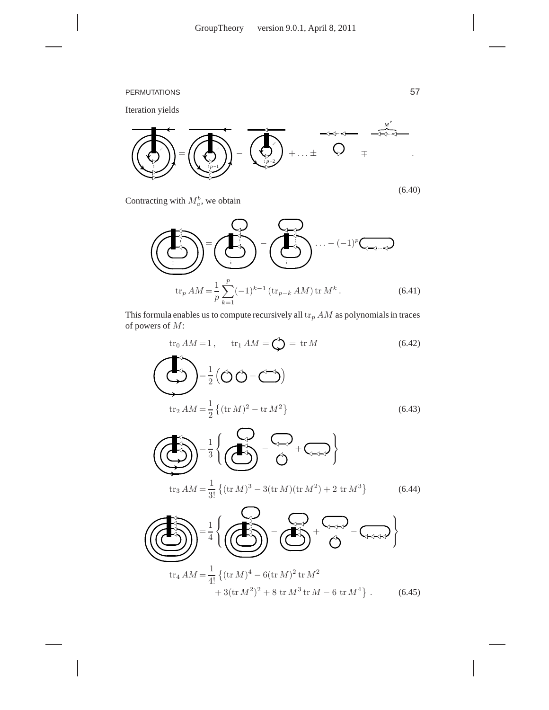

Contracting with  $M_a^b$ , we obtain

$$
\left(\sum_{\mathbf{r}}\right)^{n} = \left(\sum_{\mathbf{r}}\right)^{n} \left(\sum_{\mathbf{r}}\right)^{n} \left(\sum_{\mathbf{r}}\right)^{n} \cdots \left(-1\right)^{p} \left(\sum_{\mathbf{r}}\right)^{n}
$$
\n
$$
\operatorname{tr}_{p} AM = \frac{1}{p} \sum_{k=1}^{p} (-1)^{k-1} \left(\operatorname{tr}_{p-k} AM\right) \operatorname{tr} M^{k}.
$$
\n(6.41)

This formula enables us to compute recursively all  $\text{tr}_{p}$  AM as polynomials in traces of powers of M:

$$
\text{tr}_0 AM = 1, \quad \text{tr}_1 AM = \bigodot = \text{tr} M \tag{6.42}
$$

$$
\sum_{\text{tr}_2 AM = \frac{1}{2}} \left( \bigcirc \bigcirc - \bigcirc \right)
$$
  

$$
\sum_{\text{tr}_2 AM = \frac{1}{2}} \left\{ (\text{tr } M)^2 - \text{tr } M^2 \right\}
$$
 (6.43)

$$
\left(\bigodot_{\text{tr}_3 AM} \right) = \frac{1}{3} \left\{ \bigodot_{\text{tr}_3 AM} - \bigodot_{\text{tr}_3 M} + \bigodot_{\text{tr}_4 M} \right\}
$$
\n
$$
\left(\bigodot_{\text{tr}_3 AM} \right) = \frac{1}{3!} \left\{ (\text{tr } M)^3 - 3 (\text{tr } M)(\text{tr } M^2) + 2 \text{tr } M^3 \right\} \tag{6.44}
$$

$$
\left(\frac{1}{\sqrt{2}}\right)^{2} = \frac{1}{4} \left\{ \left(\frac{1}{\sqrt{2}}\right)^{2} - \left(\frac{1}{\sqrt{2}}\right)^{2} + \left(\frac{1}{\sqrt{2}}\right)^{2} - \left(\frac{1}{\sqrt{2}}\right)^{2} \right\}
$$
  
tr<sub>4</sub>  $AM = \frac{1}{4!} \left\{ (\text{tr } M)^{4} - 6(\text{tr } M)^{2} \text{tr } M^{2} + 3(\text{tr } M^{2})^{2} + 8 \text{tr } M^{3} \text{tr } M - 6 \text{tr } M^{4} \right\}. \tag{6.45}$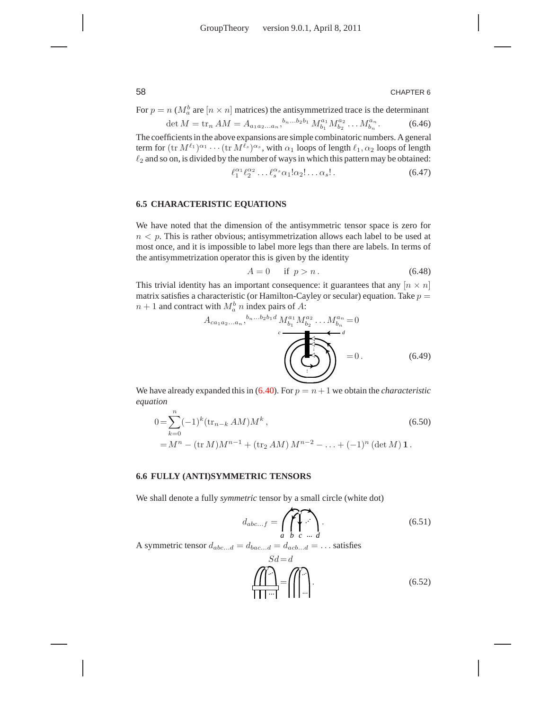For  $p = n \left( M_a^b \text{ are } [n \times n] \right)$  matrices) the antisymmetrized trace is the determinant

$$
\det M = \operatorname{tr}_n AM = A_{a_1 a_2 \dots a_n},^{b_n \dots b_2 b_1} M_{b_1}^{a_1} M_{b_2}^{a_2} \dots M_{b_n}^{a_n}.
$$
 (6.46)

The coefficients in the above expansions are simple combinatoric numbers. A general term for  $(\text{tr } M^{\ell_1})^{\alpha_1}\cdots(\text{tr } M^{\ell_s})^{\alpha_s}$ , with  $\alpha_1$  loops of length  $\ell_1,\alpha_2$  loops of length  $\ell_2$  and so on, is divided by the number of ways in which this pattern may be obtained:

$$
\ell_1^{\alpha_1} \ell_2^{\alpha_2} \dots \ell_s^{\alpha_s} \alpha_1! \alpha_2! \dots \alpha_s! \tag{6.47}
$$

#### **6.5 CHARACTERISTIC EQUATIONS**

We have noted that the dimension of the antisymmetric tensor space is zero for  $n < p$ . This is rather obvious; antisymmetrization allows each label to be used at most once, and it is impossible to label more legs than there are labels. In terms of the antisymmetrization operator this is given by the identity

$$
A = 0 \quad \text{if } p > n. \tag{6.48}
$$

This trivial identity has an important consequence: it guarantees that any  $[n \times n]$ matrix satisfies a characteristic (or Hamilton-Cayley or secular) equation. Take  $p =$  $n+1$  and contract with  $M_a^b$  n index pairs of A:

$$
A_{ca_1a_2...a_n},^{b_n...b_2b_1d} M_{b_1}^{a_1} M_{b_2}^{a_2} ... M_{b_n}^{a_n} = 0
$$
\n
$$
\underbrace{\left(\bigodot_{i=1}^{a_1} M_{b_2}^{a_2} ... M_{b_n}^{a_n}\right)}_{=0} = 0.
$$
\n(6.49)

We have already expanded this in  $(6.40)$ . For  $p = n + 1$  we obtain the *characteristic equation*

$$
0 = \sum_{k=0}^{n} (-1)^{k} (\text{tr}_{n-k} AM) M^{k},
$$
  
=  $M^{n} - (\text{tr } M) M^{n-1} + (\text{tr}_{2} AM) M^{n-2} - ... + (-1)^{n} (\text{det } M) \mathbf{1}.$  (6.50)

#### **6.6 FULLY (ANTI)SYMMETRIC TENSORS**

We shall denote a fully *symmetric* tensor by a small circle (white dot)

$$
d_{abc...f} = \bigcap_{a} \bigcap_{b} \bigcap_{c} \bigcap_{d} \tag{6.51}
$$

A symmetric tensor  $d_{abc...d} = d_{bac...d} = d_{acb...d} = \dots$  satisfies

$$
\underbrace{\text{min}}_{\text{min}} = \text{min} \tag{6.52}
$$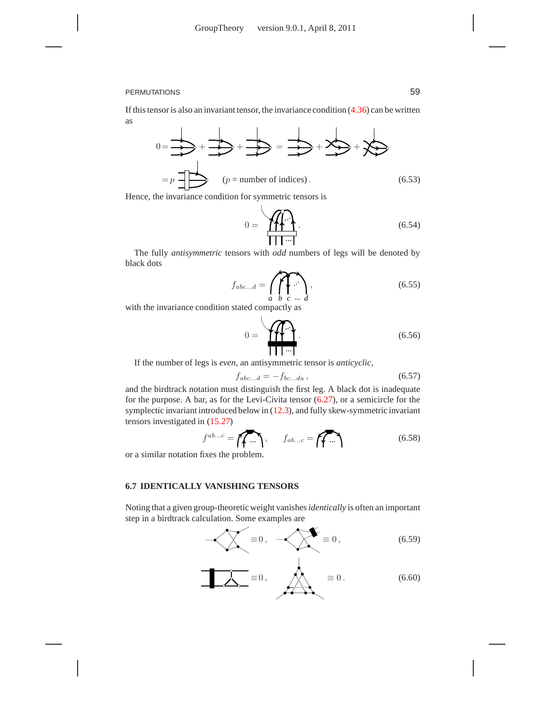If this tensor is also an invariant tensor, the invariance condition  $(4.36)$  can be written as

$$
0 = \frac{1}{\frac{1}{\sqrt{2}}} + \frac{1}{\frac{1}{\sqrt{2}}} + \frac{1}{\frac{1}{\sqrt{2}}} = \frac{1}{\frac{1}{\sqrt{2}}} + \frac{1}{\sqrt{2}} + \frac{1}{\sqrt{2}} = p
$$
\n
$$
= p \frac{1}{\sqrt{2}} + \frac{1}{\sqrt{2}} = \frac{1}{\sqrt{2}} + \frac{1}{\sqrt{2}} + \frac{1}{\sqrt{2}} = \frac{1}{\sqrt{2}} + \frac{1}{\sqrt{2}} = \frac{1}{\sqrt{2}} + \frac{1}{\sqrt{2}} = \frac{1}{\sqrt{2}} + \frac{1}{\sqrt{2}} = \frac{1}{\sqrt{2}} + \frac{1}{\sqrt{2}} = \frac{1}{\sqrt{2}} + \frac{1}{\sqrt{2}} = \frac{1}{\sqrt{2}} + \frac{1}{\sqrt{2}} = \frac{1}{\sqrt{2}} + \frac{1}{\sqrt{2}} = \frac{1}{\sqrt{2}} + \frac{1}{\sqrt{2}} = \frac{1}{\sqrt{2}} + \frac{1}{\sqrt{2}} = \frac{1}{\sqrt{2}} + \frac{1}{\sqrt{2}} = \frac{1}{\sqrt{2}} + \frac{1}{\sqrt{2}} = \frac{1}{\sqrt{2}} = \frac{1}{\sqrt{2}} + \frac{1}{\sqrt{2}} = \frac{1}{\sqrt{2}} = \frac{1}{\sqrt{2}} = \frac{1}{\sqrt{2}} = \frac{1}{\sqrt{2}} = \frac{1}{\sqrt{2}} = \frac{1}{\sqrt{2}} = \frac{1}{\sqrt{2}} = \frac{1}{\sqrt{2}} = \frac{1}{\sqrt{2}} = \frac{1}{\sqrt{2}} = \frac{1}{\sqrt{2}} = \frac{1}{\sqrt{2}} = \frac{1}{\sqrt{2}} = \frac{1}{\sqrt{2}} = \frac{1}{\sqrt{2}} = \frac{1}{\sqrt{2}} = \frac{1}{\sqrt{2}} = \frac{1}{\sqrt{2}} = \frac{1}{\sqrt{2}} = \frac{1}{\sqrt{2}} = \frac{1}{\sqrt{2}} = \frac{1}{\sqrt{2}} = \frac{1}{\sqrt{2}} = \frac{1}{\sqrt{2}} = \frac{1}{\sqrt{2}} = \frac{1}{\sqrt{2}} = \frac{1}{\sqrt{2}} = \frac{1}{\sqrt{2}} = \frac{1}{\sqrt{2}} = \frac{1}{\sqrt{2
$$

Hence, the invariance condition for symmetric tensors is

$$
0 = \underbrace{\mathbf{H} \cdot \mathbf{H}}_{\mathbf{H} \mathbf{H} \cdots \mathbf{H}}
$$
\n
$$
(6.54)
$$

The fully *antisymmetric* tensors with *odd* numbers of legs will be denoted by black dots

$$
f_{abc...d} = \bigcap_{a} \bigcap_{b} \bigcap_{c} \dots \bigcap_{d} \tag{6.55}
$$

with the invariance condition stated compactly as

$$
0 = \underbrace{\mathbf{1}_{\mathbf{1}_{\mathbf{1}}\cdots\mathbf{1}}}_{\mathbf{1}_{\mathbf{1}}\cdots\mathbf{1}}.\tag{6.56}
$$

If the number of legs is *even*, an antisymmetric tensor is *anticyclic,*

$$
f_{abc...d} = -f_{bc...da} \,, \tag{6.57}
$$

and the birdtrack notation must distinguish the first leg. A black dot is inadequate for the purpose. A bar, as for the Levi-Civita tensor (6.27), or a semicircle for the symplectic invariant introduced below in (12.3), and fully skew-symmetric invariant tensors investigated in (15.27)

$$
f^{ab...c} = \overbrace{f \bullet \dots}^{ab...c} = \overbrace{f \bullet \dots}^{b} \tag{6.58}
$$

or a similar notation fixes the problem.

#### **6.7 IDENTICALLY VANISHING TENSORS**

Noting that a given group-theoretic weight vanishes*identically* is often an important step in a birdtrack calculation. Some examples are



$$
\boxed{\mathcal{A}} = 0, \qquad \boxed{\mathcal{A}} = 0. \tag{6.60}
$$